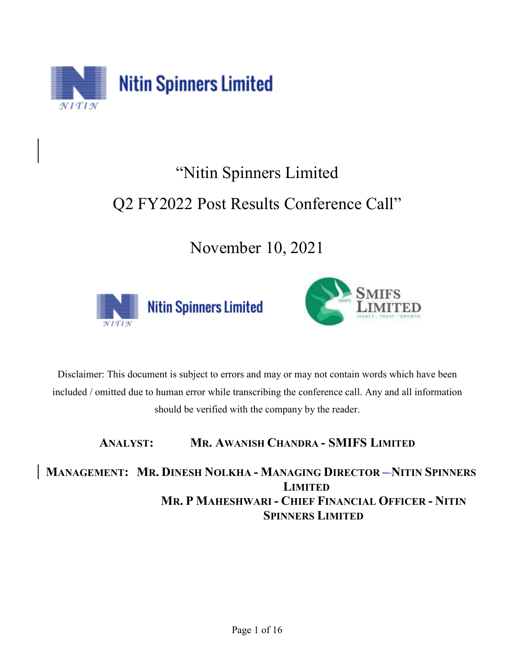

# "Nitin Spinners Limited

## Q2 FY2022 Post Results Conference Call"

November 10, 2021





Disclaimer: This document is subject to errors and may or may not contain words which have been included / omitted due to human error while transcribing the conference call. Any and all information should be verified with the company by the reader.

### **ANALYST: MR. AWANISH CHANDRA - SMIFS LIMITED**

**MANAGEMENT: MR. DINESH NOLKHA - MANAGING DIRECTOR – NITIN SPINNERS LIMITED MR. P MAHESHWARI - CHIEF FINANCIAL OFFICER - NITIN SPINNERS LIMITED**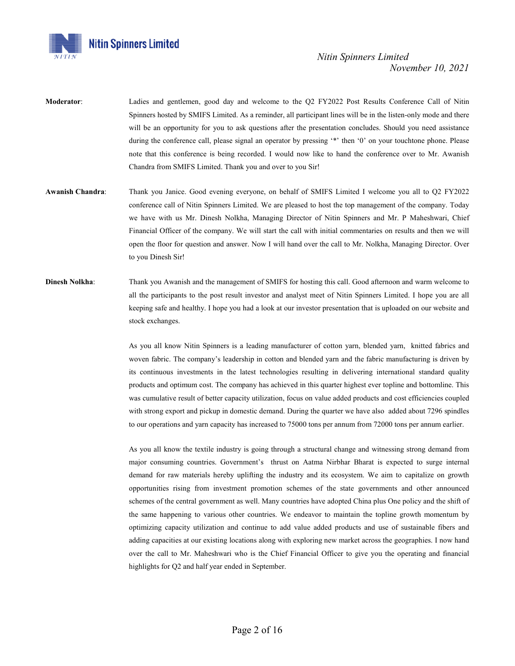

- **Moderator**: Ladies and gentlemen, good day and welcome to the Q2 FY2022 Post Results Conference Call of Nitin Spinners hosted by SMIFS Limited. As a reminder, all participant lines will be in the listen-only mode and there will be an opportunity for you to ask questions after the presentation concludes. Should you need assistance during the conference call, please signal an operator by pressing '\*' then '0' on your touchtone phone. Please note that this conference is being recorded. I would now like to hand the conference over to Mr. Awanish Chandra from SMIFS Limited. Thank you and over to you Sir!
- **Awanish Chandra**: Thank you Janice. Good evening everyone, on behalf of SMIFS Limited I welcome you all to Q2 FY2022 conference call of Nitin Spinners Limited. We are pleased to host the top management of the company. Today we have with us Mr. Dinesh Nolkha, Managing Director of Nitin Spinners and Mr. P Maheshwari, Chief Financial Officer of the company. We will start the call with initial commentaries on results and then we will open the floor for question and answer. Now I will hand over the call to Mr. Nolkha, Managing Director. Over to you Dinesh Sir!
- **Dinesh Nolkha**: Thank you Awanish and the management of SMIFS for hosting this call. Good afternoon and warm welcome to all the participants to the post result investor and analyst meet of Nitin Spinners Limited. I hope you are all keeping safe and healthy. I hope you had a look at our investor presentation that is uploaded on our website and stock exchanges.

As you all know Nitin Spinners is a leading manufacturer of cotton yarn, blended yarn, knitted fabrics and woven fabric. The company's leadership in cotton and blended yarn and the fabric manufacturing is driven by its continuous investments in the latest technologies resulting in delivering international standard quality products and optimum cost. The company has achieved in this quarter highest ever topline and bottomline. This was cumulative result of better capacity utilization, focus on value added products and cost efficiencies coupled with strong export and pickup in domestic demand. During the quarter we have also added about 7296 spindles to our operations and yarn capacity has increased to 75000 tons per annum from 72000 tons per annum earlier.

As you all know the textile industry is going through a structural change and witnessing strong demand from major consuming countries. Government's thrust on Aatma Nirbhar Bharat is expected to surge internal demand for raw materials hereby uplifting the industry and its ecosystem. We aim to capitalize on growth opportunities rising from investment promotion schemes of the state governments and other announced schemes of the central government as well. Many countries have adopted China plus One policy and the shift of the same happening to various other countries. We endeavor to maintain the topline growth momentum by optimizing capacity utilization and continue to add value added products and use of sustainable fibers and adding capacities at our existing locations along with exploring new market across the geographies. I now hand over the call to Mr. Maheshwari who is the Chief Financial Officer to give you the operating and financial highlights for Q2 and half year ended in September.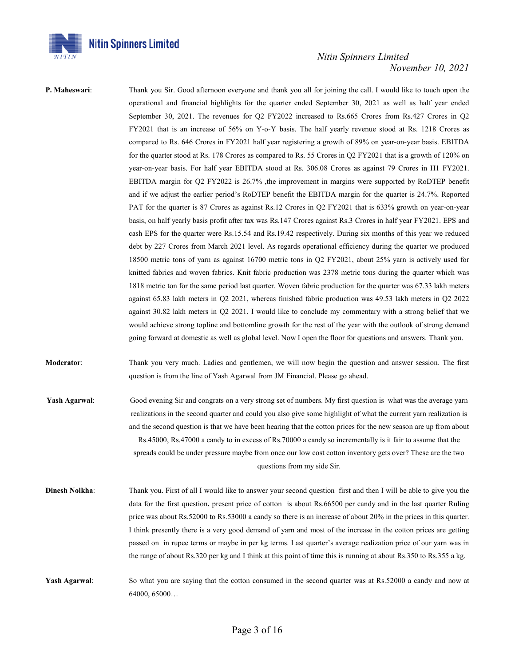

**P. Maheswari:** Thank you Sir. Good afternoon everyone and thank you all for joining the call. I would like to touch upon the operational and financial highlights for the quarter ended September 30, 2021 as well as half year ended September 30, 2021. The revenues for Q2 FY2022 increased to Rs.665 Crores from Rs.427 Crores in Q2 FY2021 that is an increase of 56% on Y-o-Y basis. The half yearly revenue stood at Rs. 1218 Crores as compared to Rs. 646 Crores in FY2021 half year registering a growth of 89% on year-on-year basis. EBITDA for the quarter stood at Rs. 178 Crores as compared to Rs. 55 Crores in Q2 FY2021 that is a growth of 120% on year-on-year basis. For half year EBITDA stood at Rs. 306.08 Crores as against 79 Crores in H1 FY2021. EBITDA margin for Q2 FY2022 is 26.7% ,the improvement in margins were supported by RoDTEP benefit and if we adjust the earlier period's RoDTEP benefit the EBITDA margin for the quarter is 24.7%. Reported PAT for the quarter is 87 Crores as against Rs.12 Crores in Q2 FY2021 that is 633% growth on year-on-year basis, on half yearly basis profit after tax was Rs.147 Crores against Rs.3 Crores in half year FY2021. EPS and cash EPS for the quarter were Rs.15.54 and Rs.19.42 respectively. During six months of this year we reduced debt by 227 Crores from March 2021 level. As regards operational efficiency during the quarter we produced 18500 metric tons of yarn as against 16700 metric tons in Q2 FY2021, about 25% yarn is actively used for knitted fabrics and woven fabrics. Knit fabric production was 2378 metric tons during the quarter which was 1818 metric ton for the same period last quarter. Woven fabric production for the quarter was 67.33 lakh meters against 65.83 lakh meters in Q2 2021, whereas finished fabric production was 49.53 lakh meters in Q2 2022 against 30.82 lakh meters in Q2 2021. I would like to conclude my commentary with a strong belief that we would achieve strong topline and bottomline growth for the rest of the year with the outlook of strong demand going forward at domestic as well as global level. Now I open the floor for questions and answers. Thank you.

**Moderator**: Thank you very much. Ladies and gentlemen, we will now begin the question and answer session. The first question is from the line of Yash Agarwal from JM Financial. Please go ahead.

**Yash Agarwal**: Good evening Sir and congrats on a very strong set of numbers. My first question is what was the average yarn realizations in the second quarter and could you also give some highlight of what the current yarn realization is and the second question is that we have been hearing that the cotton prices for the new season are up from about Rs.45000, Rs.47000 a candy to in excess of Rs.70000 a candy so incrementally is it fair to assume that the spreads could be under pressure maybe from once our low cost cotton inventory gets over? These are the two questions from my side Sir.

**Dinesh Nolkha**: Thank you. First of all I would like to answer your second question first and then I will be able to give you the data for the first question**.** present price of cotton is about Rs.66500 per candy and in the last quarter Ruling price was about Rs.52000 to Rs.53000 a candy so there is an increase of about 20% in the prices in this quarter. I think presently there is a very good demand of yarn and most of the increase in the cotton prices are getting passed on in rupee terms or maybe in per kg terms. Last quarter's average realization price of our yarn was in the range of about Rs.320 per kg and I think at this point of time this is running at about Rs.350 to Rs.355 a kg.

**Yash Agarwal:** So what you are saying that the cotton consumed in the second quarter was at Rs.52000 a candy and now at 64000, 65000…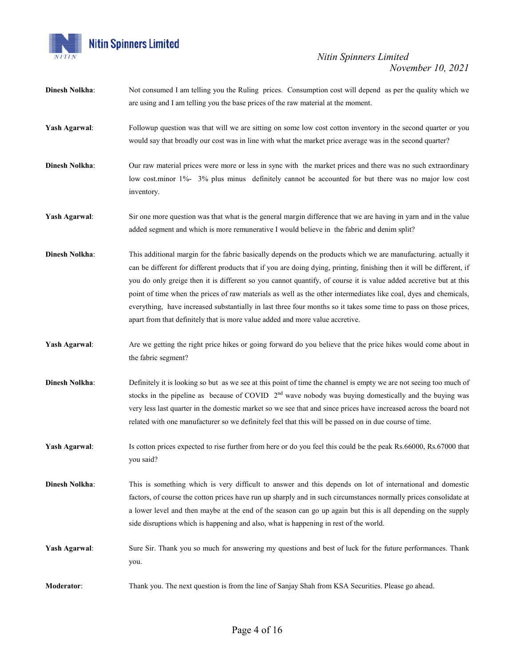

| <b>Dinesh Nolkha:</b> | Not consumed I am telling you the Ruling prices. Consumption cost will depend as per the quality which we<br>are using and I am telling you the base prices of the raw material at the moment.                                                                                                                                                                                                                                                                                                                                                                                                                                                                                           |
|-----------------------|------------------------------------------------------------------------------------------------------------------------------------------------------------------------------------------------------------------------------------------------------------------------------------------------------------------------------------------------------------------------------------------------------------------------------------------------------------------------------------------------------------------------------------------------------------------------------------------------------------------------------------------------------------------------------------------|
| Yash Agarwal:         | Followup question was that will we are sitting on some low cost cotton inventory in the second quarter or you<br>would say that broadly our cost was in line with what the market price average was in the second quarter?                                                                                                                                                                                                                                                                                                                                                                                                                                                               |
| <b>Dinesh Nolkha:</b> | Our raw material prices were more or less in sync with the market prices and there was no such extraordinary<br>low cost.minor 1%- 3% plus minus definitely cannot be accounted for but there was no major low cost<br>inventory.                                                                                                                                                                                                                                                                                                                                                                                                                                                        |
| Yash Agarwal:         | Sir one more question was that what is the general margin difference that we are having in yarn and in the value<br>added segment and which is more remunerative I would believe in the fabric and denim split?                                                                                                                                                                                                                                                                                                                                                                                                                                                                          |
| <b>Dinesh Nolkha:</b> | This additional margin for the fabric basically depends on the products which we are manufacturing, actually it<br>can be different for different products that if you are doing dying, printing, finishing then it will be different, if<br>you do only greige then it is different so you cannot quantify, of course it is value added accretive but at this<br>point of time when the prices of raw materials as well as the other intermediates like coal, dyes and chemicals,<br>everything, have increased substantially in last three four months so it takes some time to pass on those prices,<br>apart from that definitely that is more value added and more value accretive. |
| Yash Agarwal:         | Are we getting the right price hikes or going forward do you believe that the price hikes would come about in<br>the fabric segment?                                                                                                                                                                                                                                                                                                                                                                                                                                                                                                                                                     |
| <b>Dinesh Nolkha:</b> | Definitely it is looking so but as we see at this point of time the channel is empty we are not seeing too much of<br>stocks in the pipeline as because of COVID $2nd$ wave nobody was buying domestically and the buying was<br>very less last quarter in the domestic market so we see that and since prices have increased across the board not<br>related with one manufacturer so we definitely feel that this will be passed on in due course of time.                                                                                                                                                                                                                             |
| Yash Agarwal:         | Is cotton prices expected to rise further from here or do you feel this could be the peak Rs.66000, Rs.67000 that<br>you said?                                                                                                                                                                                                                                                                                                                                                                                                                                                                                                                                                           |
| <b>Dinesh Nolkha:</b> | This is something which is very difficult to answer and this depends on lot of international and domestic<br>factors, of course the cotton prices have run up sharply and in such circumstances normally prices consolidate at<br>a lower level and then maybe at the end of the season can go up again but this is all depending on the supply<br>side disruptions which is happening and also, what is happening in rest of the world.                                                                                                                                                                                                                                                 |
| Yash Agarwal:         | Sure Sir. Thank you so much for answering my questions and best of luck for the future performances. Thank<br>you.                                                                                                                                                                                                                                                                                                                                                                                                                                                                                                                                                                       |
| Moderator:            | Thank you. The next question is from the line of Sanjay Shah from KSA Securities. Please go ahead.                                                                                                                                                                                                                                                                                                                                                                                                                                                                                                                                                                                       |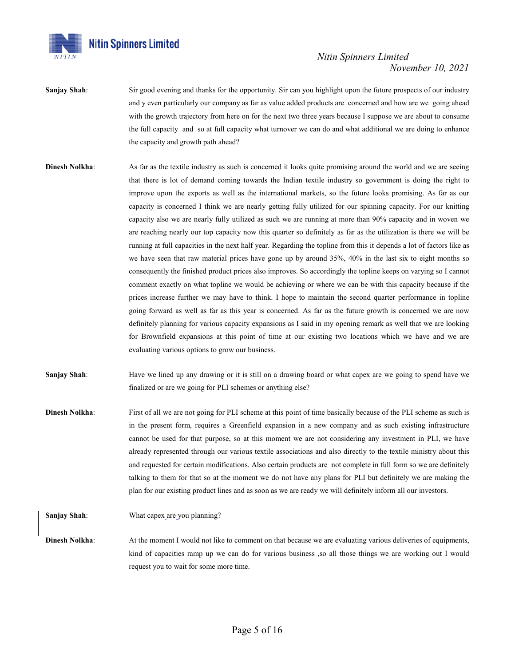

- **Sanjay Shah**: Sir good evening and thanks for the opportunity. Sir can you highlight upon the future prospects of our industry and y even particularly our company as far as value added products are concerned and how are we going ahead with the growth trajectory from here on for the next two three years because I suppose we are about to consume the full capacity and so at full capacity what turnover we can do and what additional we are doing to enhance the capacity and growth path ahead?
- **Dinesh Nolkha:** As far as the textile industry as such is concerned it looks quite promising around the world and we are seeing that there is lot of demand coming towards the Indian textile industry so government is doing the right to improve upon the exports as well as the international markets, so the future looks promising. As far as our capacity is concerned I think we are nearly getting fully utilized for our spinning capacity. For our knitting capacity also we are nearly fully utilized as such we are running at more than 90% capacity and in woven we are reaching nearly our top capacity now this quarter so definitely as far as the utilization is there we will be running at full capacities in the next half year. Regarding the topline from this it depends a lot of factors like as we have seen that raw material prices have gone up by around 35%, 40% in the last six to eight months so consequently the finished product prices also improves. So accordingly the topline keeps on varying so I cannot comment exactly on what topline we would be achieving or where we can be with this capacity because if the prices increase further we may have to think. I hope to maintain the second quarter performance in topline going forward as well as far as this year is concerned. As far as the future growth is concerned we are now definitely planning for various capacity expansions as I said in my opening remark as well that we are looking for Brownfield expansions at this point of time at our existing two locations which we have and we are evaluating various options to grow our business.
- **Sanjay Shah**: Have we lined up any drawing or it is still on a drawing board or what capex are we going to spend have we finalized or are we going for PLI schemes or anything else?
- **Dinesh Nolkha:** First of all we are not going for PLI scheme at this point of time basically because of the PLI scheme as such is in the present form, requires a Greenfield expansion in a new company and as such existing infrastructure cannot be used for that purpose, so at this moment we are not considering any investment in PLI, we have already represented through our various textile associations and also directly to the textile ministry about this and requested for certain modifications. Also certain products are not complete in full form so we are definitely talking to them for that so at the moment we do not have any plans for PLI but definitely we are making the plan for our existing product lines and as soon as we are ready we will definitely inform all our investors.

**Sanjay Shah**: What capex\_are\_you planning?

**Dinesh Nolkha:** At the moment I would not like to comment on that because we are evaluating various deliveries of equipments, kind of capacities ramp up we can do for various business ,so all those things we are working out I would request you to wait for some more time.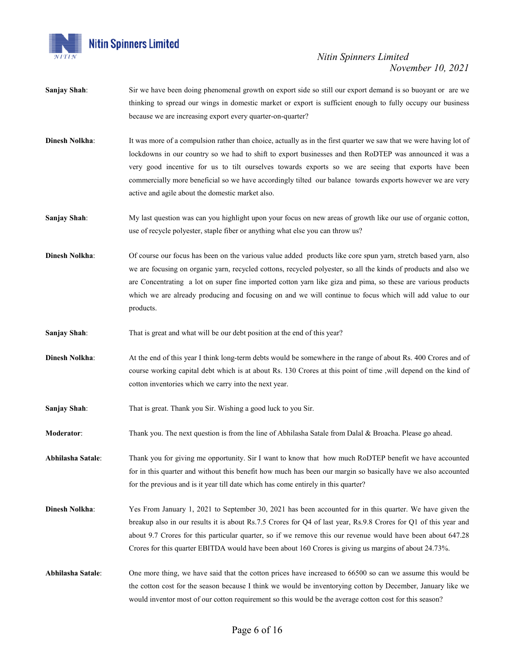

- **Sanjay Shah**: Sir we have been doing phenomenal growth on export side so still our export demand is so buoyant or are we thinking to spread our wings in domestic market or export is sufficient enough to fully occupy our business because we are increasing export every quarter-on-quarter?
- **Dinesh Nolkha:** It was more of a compulsion rather than choice, actually as in the first quarter we saw that we were having lot of lockdowns in our country so we had to shift to export businesses and then RoDTEP was announced it was a very good incentive for us to tilt ourselves towards exports so we are seeing that exports have been commercially more beneficial so we have accordingly tilted our balance towards exports however we are very active and agile about the domestic market also.
- **Sanjay Shah:** My last question was can you highlight upon your focus on new areas of growth like our use of organic cotton, use of recycle polyester, staple fiber or anything what else you can throw us?
- **Dinesh Nolkha**: Of course our focus has been on the various value added products like core spun yarn, stretch based yarn, also we are focusing on organic yarn, recycled cottons, recycled polyester, so all the kinds of products and also we are Concentrating a lot on super fine imported cotton yarn like giza and pima, so these are various products which we are already producing and focusing on and we will continue to focus which will add value to our products.
- **Sanjay Shah**: That is great and what will be our debt position at the end of this year?
- **Dinesh Nolkha:** At the end of this year I think long-term debts would be somewhere in the range of about Rs. 400 Crores and of course working capital debt which is at about Rs. 130 Crores at this point of time ,will depend on the kind of cotton inventories which we carry into the next year.
- **Sanjay Shah**: That is great. Thank you Sir. Wishing a good luck to you Sir.
- **Moderator**: Thank you. The next question is from the line of Abhilasha Satale from Dalal & Broacha. Please go ahead.
- **Abhilasha Satale**: Thank you for giving me opportunity. Sir I want to know that how much RoDTEP benefit we have accounted for in this quarter and without this benefit how much has been our margin so basically have we also accounted for the previous and is it year till date which has come entirely in this quarter?
- **Dinesh Nolkha:** Yes From January 1, 2021 to September 30, 2021 has been accounted for in this quarter. We have given the breakup also in our results it is about Rs.7.5 Crores for Q4 of last year, Rs.9.8 Crores for Q1 of this year and about 9.7 Crores for this particular quarter, so if we remove this our revenue would have been about 647.28 Crores for this quarter EBITDA would have been about 160 Crores is giving us margins of about 24.73%.

**Abhilasha Satale**: One more thing, we have said that the cotton prices have increased to 66500 so can we assume this would be the cotton cost for the season because I think we would be inventorying cotton by December, January like we would inventor most of our cotton requirement so this would be the average cotton cost for this season?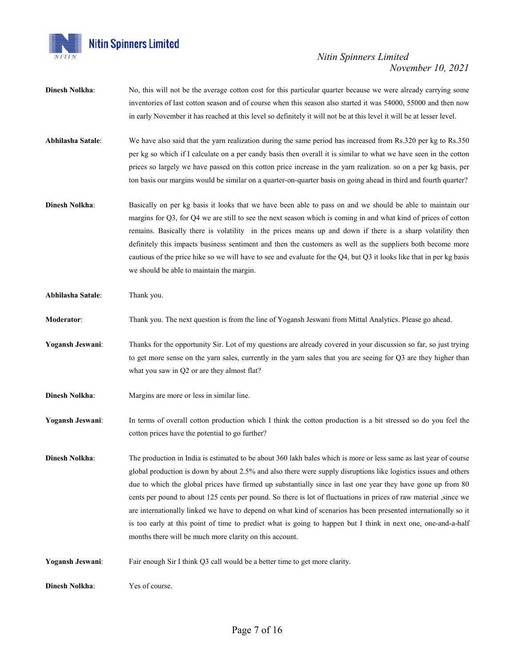

- **Dinesh Nolkha**: No, this will not be the average cotton cost for this particular quarter because we were already carrying some inventories of last cotton season and of course when this season also started it was 54000, 55000 and then now in early November it has reached at this level so definitely it will not be at this level it will be at lesser level.
- **Abhilasha Satale**: We have also said that the yarn realization during the same period has increased from Rs.320 per kg to Rs.350 per kg so which if I calculate on a per candy basis then overall it is similar to what we have seen in the cotton prices so largely we have passed on this cotton price increase in the yarn realization. so on a per kg basis, per ton basis our margins would be similar on a quarter-on-quarter basis on going ahead in third and fourth quarter?
- **Dinesh Nolkha**: Basically on per kg basis it looks that we have been able to pass on and we should be able to maintain our margins for Q3, for Q4 we are still to see the next season which is coming in and what kind of prices of cotton remains. Basically there is volatility in the prices means up and down if there is a sharp volatility then definitely this impacts business sentiment and then the customers as well as the suppliers both become more cautious of the price hike so we will have to see and evaluate for the Q4, but Q3 it looks like that in per kg basis we should be able to maintain the margin.

**Abhilasha Satale**: Thank you.

- **Moderator**: Thank you. The next question is from the line of Yogansh Jeswani from Mittal Analytics. Please go ahead.
- **Yogansh Jeswani**: Thanks for the opportunity Sir. Lot of my questions are already covered in your discussion so far, so just trying to get more sense on the yarn sales, currently in the yarn sales that you are seeing for Q3 are they higher than what you saw in Q2 or are they almost flat?
- **Dinesh Nolkha:** Margins are more or less in similar line.
- Yogansh Jeswani: In terms of overall cotton production which I think the cotton production is a bit stressed so do you feel the cotton prices have the potential to go further?
- **Dinesh Nolkha**: The production in India is estimated to be about 360 lakh bales which is more or less same as last year of course global production is down by about 2.5% and also there were supply disruptions like logistics issues and others due to which the global prices have firmed up substantially since in last one year they have gone up from 80 cents per pound to about 125 cents per pound. So there is lot of fluctuations in prices of raw material ,since we are internationally linked we have to depend on what kind of scenarios has been presented internationally so it is too early at this point of time to predict what is going to happen but I think in next one, one-and-a-half months there will be much more clarity on this account.
- **Yogansh Jeswani**: Fair enough Sir I think Q3 call would be a better time to get more clarity.

**Dinesh Nolkha:** Yes of course.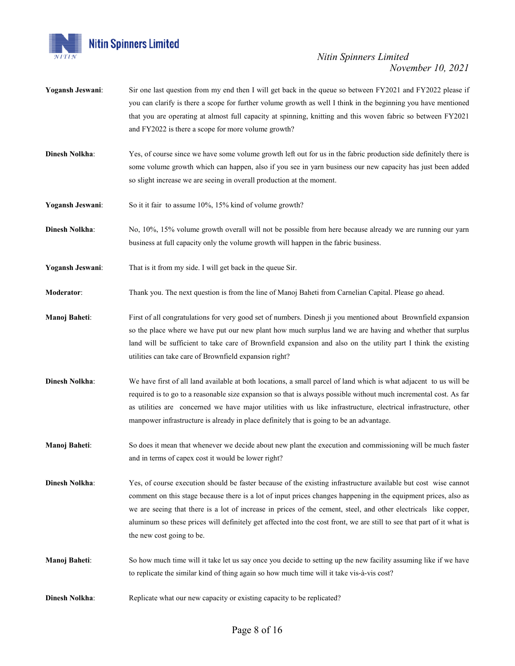

- **Yogansh Jeswani:** Sir one last question from my end then I will get back in the queue so between FY2021 and FY2022 please if you can clarify is there a scope for further volume growth as well I think in the beginning you have mentioned that you are operating at almost full capacity at spinning, knitting and this woven fabric so between FY2021 and FY2022 is there a scope for more volume growth?
- **Dinesh Nolkha:** Yes, of course since we have some volume growth left out for us in the fabric production side definitely there is some volume growth which can happen, also if you see in yarn business our new capacity has just been added so slight increase we are seeing in overall production at the moment.
- **Yogansh Jeswani:** So it it fair to assume 10%, 15% kind of volume growth?
- **Dinesh Nolkha**: No, 10%, 15% volume growth overall will not be possible from here because already we are running our yarn business at full capacity only the volume growth will happen in the fabric business.
- **Yogansh Jeswani**: That is it from my side. I will get back in the queue Sir.
- **Moderator:** Thank you. The next question is from the line of Manoj Baheti from Carnelian Capital. Please go ahead.
- **Manoj Baheti:** First of all congratulations for very good set of numbers. Dinesh ji you mentioned about Brownfield expansion so the place where we have put our new plant how much surplus land we are having and whether that surplus land will be sufficient to take care of Brownfield expansion and also on the utility part I think the existing utilities can take care of Brownfield expansion right?
- **Dinesh Nolkha:** We have first of all land available at both locations, a small parcel of land which is what adjacent to us will be required is to go to a reasonable size expansion so that is always possible without much incremental cost. As far as utilities are concerned we have major utilities with us like infrastructure, electrical infrastructure, other manpower infrastructure is already in place definitely that is going to be an advantage.
- **Manoj Baheti:** So does it mean that whenever we decide about new plant the execution and commissioning will be much faster and in terms of capex cost it would be lower right?
- **Dinesh Nolkha:** Yes, of course execution should be faster because of the existing infrastructure available but cost wise cannot comment on this stage because there is a lot of input prices changes happening in the equipment prices, also as we are seeing that there is a lot of increase in prices of the cement, steel, and other electricals like copper, aluminum so these prices will definitely get affected into the cost front, we are still to see that part of it what is the new cost going to be.
- **Manoj Baheti**: So how much time will it take let us say once you decide to setting up the new facility assuming like if we have to replicate the similar kind of thing again so how much time will it take vis-à-vis cost?
- **Dinesh Nolkha:** Replicate what our new capacity or existing capacity to be replicated?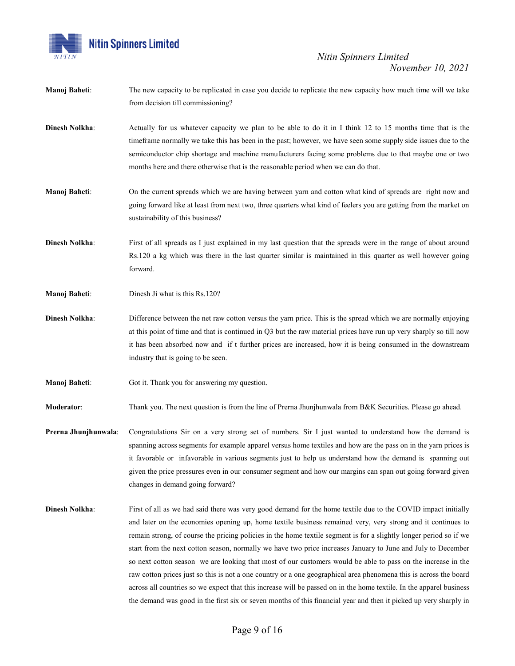

- **Manoj Baheti**: The new capacity to be replicated in case you decide to replicate the new capacity how much time will we take from decision till commissioning?
- **Dinesh Nolkha:** Actually for us whatever capacity we plan to be able to do it in I think 12 to 15 months time that is the timeframe normally we take this has been in the past; however, we have seen some supply side issues due to the semiconductor chip shortage and machine manufacturers facing some problems due to that maybe one or two months here and there otherwise that is the reasonable period when we can do that.
- **Manoj Baheti**: On the current spreads which we are having between yarn and cotton what kind of spreads are right now and going forward like at least from next two, three quarters what kind of feelers you are getting from the market on sustainability of this business?
- **Dinesh Nolkha**: First of all spreads as I just explained in my last question that the spreads were in the range of about around Rs.120 a kg which was there in the last quarter similar is maintained in this quarter as well however going forward.
- **Manoj Baheti:** Dinesh Ji what is this Rs.120?
- **Dinesh Nolkha:** Difference between the net raw cotton versus the yarn price. This is the spread which we are normally enjoying at this point of time and that is continued in Q3 but the raw material prices have run up very sharply so till now it has been absorbed now and if t further prices are increased, how it is being consumed in the downstream industry that is going to be seen.
- **Manoj Baheti:** Got it. Thank you for answering my question.

**Moderator:** Thank you. The next question is from the line of Prerna Jhunjhunwala from B&K Securities. Please go ahead.

- **Prerna Jhunjhunwala**: Congratulations Sir on a very strong set of numbers. Sir I just wanted to understand how the demand is spanning across segments for example apparel versus home textiles and how are the pass on in the yarn prices is it favorable or infavorable in various segments just to help us understand how the demand is spanning out given the price pressures even in our consumer segment and how our margins can span out going forward given changes in demand going forward?
- **Dinesh Nolkha:** First of all as we had said there was very good demand for the home textile due to the COVID impact initially and later on the economies opening up, home textile business remained very, very strong and it continues to remain strong, of course the pricing policies in the home textile segment is for a slightly longer period so if we start from the next cotton season, normally we have two price increases January to June and July to December so next cotton season we are looking that most of our customers would be able to pass on the increase in the raw cotton prices just so this is not a one country or a one geographical area phenomena this is across the board across all countries so we expect that this increase will be passed on in the home textile. In the apparel business the demand was good in the first six or seven months of this financial year and then it picked up very sharply in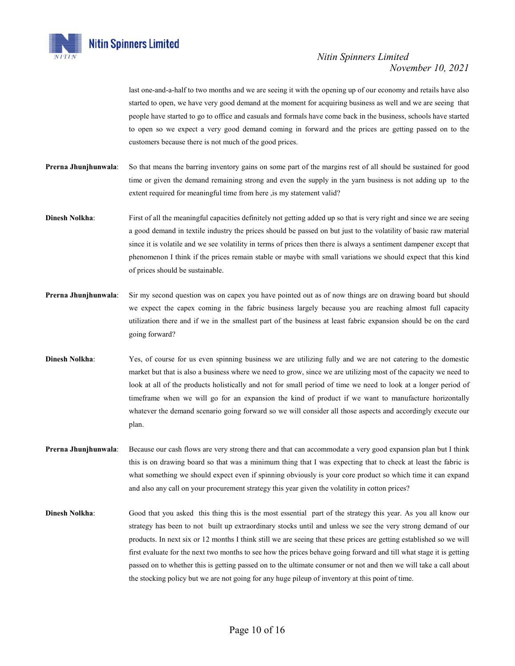

last one-and-a-half to two months and we are seeing it with the opening up of our economy and retails have also started to open, we have very good demand at the moment for acquiring business as well and we are seeing that people have started to go to office and casuals and formals have come back in the business, schools have started to open so we expect a very good demand coming in forward and the prices are getting passed on to the customers because there is not much of the good prices.

- **Prerna Jhunjhunwala**: So that means the barring inventory gains on some part of the margins rest of all should be sustained for good time or given the demand remaining strong and even the supply in the yarn business is not adding up to the extent required for meaningful time from here , is my statement valid?
- **Dinesh Nolkha:** First of all the meaningful capacities definitely not getting added up so that is very right and since we are seeing a good demand in textile industry the prices should be passed on but just to the volatility of basic raw material since it is volatile and we see volatility in terms of prices then there is always a sentiment dampener except that phenomenon I think if the prices remain stable or maybe with small variations we should expect that this kind of prices should be sustainable.
- **Prerna Jhunjhunwala**: Sir my second question was on capex you have pointed out as of now things are on drawing board but should we expect the capex coming in the fabric business largely because you are reaching almost full capacity utilization there and if we in the smallest part of the business at least fabric expansion should be on the card going forward?
- **Dinesh Nolkha**: Yes, of course for us even spinning business we are utilizing fully and we are not catering to the domestic market but that is also a business where we need to grow, since we are utilizing most of the capacity we need to look at all of the products holistically and not for small period of time we need to look at a longer period of timeframe when we will go for an expansion the kind of product if we want to manufacture horizontally whatever the demand scenario going forward so we will consider all those aspects and accordingly execute our plan.
- **Prerna Jhunjhunwala**: Because our cash flows are very strong there and that can accommodate a very good expansion plan but I think this is on drawing board so that was a minimum thing that I was expecting that to check at least the fabric is what something we should expect even if spinning obviously is your core product so which time it can expand and also any call on your procurement strategy this year given the volatility in cotton prices?
- **Dinesh Nolkha**: Good that you asked this thing this is the most essential part of the strategy this year. As you all know our strategy has been to not built up extraordinary stocks until and unless we see the very strong demand of our products. In next six or 12 months I think still we are seeing that these prices are getting established so we will first evaluate for the next two months to see how the prices behave going forward and till what stage it is getting passed on to whether this is getting passed on to the ultimate consumer or not and then we will take a call about the stocking policy but we are not going for any huge pileup of inventory at this point of time.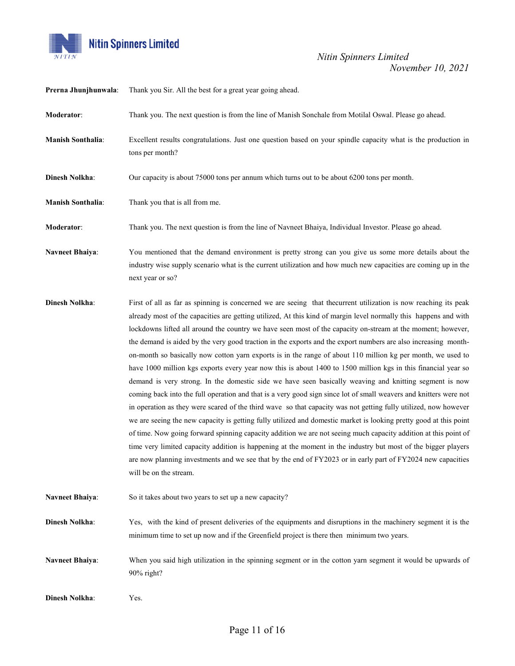

| Prerna Jhunjhunwala:     | Thank you Sir. All the best for a great year going ahead.                                                                                                                                                                                                                                                                                                                                                                                                                                                                                                                                                                                                                                                                                                                                                                                                                                                                                                                                                                                                                                                                                                                                                                                                                                                                                                                                                                                                                                                                                                 |
|--------------------------|-----------------------------------------------------------------------------------------------------------------------------------------------------------------------------------------------------------------------------------------------------------------------------------------------------------------------------------------------------------------------------------------------------------------------------------------------------------------------------------------------------------------------------------------------------------------------------------------------------------------------------------------------------------------------------------------------------------------------------------------------------------------------------------------------------------------------------------------------------------------------------------------------------------------------------------------------------------------------------------------------------------------------------------------------------------------------------------------------------------------------------------------------------------------------------------------------------------------------------------------------------------------------------------------------------------------------------------------------------------------------------------------------------------------------------------------------------------------------------------------------------------------------------------------------------------|
| Moderator:               | Thank you. The next question is from the line of Manish Sonchale from Motilal Oswal. Please go ahead.                                                                                                                                                                                                                                                                                                                                                                                                                                                                                                                                                                                                                                                                                                                                                                                                                                                                                                                                                                                                                                                                                                                                                                                                                                                                                                                                                                                                                                                     |
| <b>Manish Sonthalia:</b> | Excellent results congratulations. Just one question based on your spindle capacity what is the production in<br>tons per month?                                                                                                                                                                                                                                                                                                                                                                                                                                                                                                                                                                                                                                                                                                                                                                                                                                                                                                                                                                                                                                                                                                                                                                                                                                                                                                                                                                                                                          |
| <b>Dinesh Nolkha:</b>    | Our capacity is about 75000 tons per annum which turns out to be about 6200 tons per month.                                                                                                                                                                                                                                                                                                                                                                                                                                                                                                                                                                                                                                                                                                                                                                                                                                                                                                                                                                                                                                                                                                                                                                                                                                                                                                                                                                                                                                                               |
| <b>Manish Sonthalia:</b> | Thank you that is all from me.                                                                                                                                                                                                                                                                                                                                                                                                                                                                                                                                                                                                                                                                                                                                                                                                                                                                                                                                                                                                                                                                                                                                                                                                                                                                                                                                                                                                                                                                                                                            |
| Moderator:               | Thank you. The next question is from the line of Navneet Bhaiya, Individual Investor. Please go ahead.                                                                                                                                                                                                                                                                                                                                                                                                                                                                                                                                                                                                                                                                                                                                                                                                                                                                                                                                                                                                                                                                                                                                                                                                                                                                                                                                                                                                                                                    |
| <b>Navneet Bhaiya:</b>   | You mentioned that the demand environment is pretty strong can you give us some more details about the<br>industry wise supply scenario what is the current utilization and how much new capacities are coming up in the<br>next year or so?                                                                                                                                                                                                                                                                                                                                                                                                                                                                                                                                                                                                                                                                                                                                                                                                                                                                                                                                                                                                                                                                                                                                                                                                                                                                                                              |
| <b>Dinesh Nolkha:</b>    | First of all as far as spinning is concerned we are seeing that the current utilization is now reaching its peak<br>already most of the capacities are getting utilized, At this kind of margin level normally this happens and with<br>lockdowns lifted all around the country we have seen most of the capacity on-stream at the moment; however,<br>the demand is aided by the very good traction in the exports and the export numbers are also increasing month-<br>on-month so basically now cotton yarn exports is in the range of about 110 million kg per month, we used to<br>have 1000 million kgs exports every year now this is about 1400 to 1500 million kgs in this financial year so<br>demand is very strong. In the domestic side we have seen basically weaving and knitting segment is now<br>coming back into the full operation and that is a very good sign since lot of small weavers and knitters were not<br>in operation as they were scared of the third wave so that capacity was not getting fully utilized, now however<br>we are seeing the new capacity is getting fully utilized and domestic market is looking pretty good at this point<br>of time. Now going forward spinning capacity addition we are not seeing much capacity addition at this point of<br>time very limited capacity addition is happening at the moment in the industry but most of the bigger players<br>are now planning investments and we see that by the end of FY2023 or in early part of FY2024 new capacities<br>will be on the stream. |
| <b>Navneet Bhaiya:</b>   | So it takes about two years to set up a new capacity?                                                                                                                                                                                                                                                                                                                                                                                                                                                                                                                                                                                                                                                                                                                                                                                                                                                                                                                                                                                                                                                                                                                                                                                                                                                                                                                                                                                                                                                                                                     |
| <b>Dinesh Nolkha:</b>    | Yes, with the kind of present deliveries of the equipments and disruptions in the machinery segment it is the<br>minimum time to set up now and if the Greenfield project is there then minimum two years.                                                                                                                                                                                                                                                                                                                                                                                                                                                                                                                                                                                                                                                                                                                                                                                                                                                                                                                                                                                                                                                                                                                                                                                                                                                                                                                                                |
| <b>Navneet Bhaiya:</b>   | When you said high utilization in the spinning segment or in the cotton yarn segment it would be upwards of<br>90% right?                                                                                                                                                                                                                                                                                                                                                                                                                                                                                                                                                                                                                                                                                                                                                                                                                                                                                                                                                                                                                                                                                                                                                                                                                                                                                                                                                                                                                                 |
| <b>Dinesh Nolkha:</b>    | Yes.                                                                                                                                                                                                                                                                                                                                                                                                                                                                                                                                                                                                                                                                                                                                                                                                                                                                                                                                                                                                                                                                                                                                                                                                                                                                                                                                                                                                                                                                                                                                                      |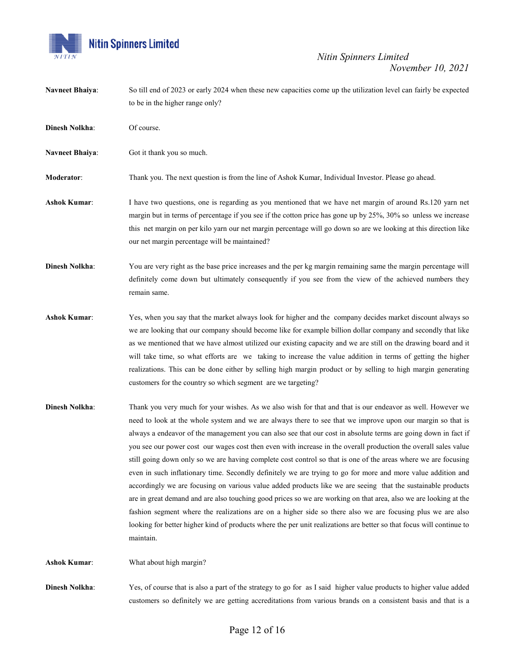

**Navneet Bhaiya**: So till end of 2023 or early 2024 when these new capacities come up the utilization level can fairly be expected to be in the higher range only?

**Dinesh Nolkha:** Of course.

**Navneet Bhaiya**: Got it thank you so much.

**Moderator**: Thank you. The next question is from the line of Ashok Kumar, Individual Investor. Please go ahead.

**Ashok Kumar**: I have two questions, one is regarding as you mentioned that we have net margin of around Rs.120 yarn net margin but in terms of percentage if you see if the cotton price has gone up by 25%, 30% so unless we increase this net margin on per kilo yarn our net margin percentage will go down so are we looking at this direction like our net margin percentage will be maintained?

**Dinesh Nolkha**: You are very right as the base price increases and the per kg margin remaining same the margin percentage will definitely come down but ultimately consequently if you see from the view of the achieved numbers they remain same.

- **Ashok Kumar**: Yes, when you say that the market always look for higher and the company decides market discount always so we are looking that our company should become like for example billion dollar company and secondly that like as we mentioned that we have almost utilized our existing capacity and we are still on the drawing board and it will take time, so what efforts are we taking to increase the value addition in terms of getting the higher realizations. This can be done either by selling high margin product or by selling to high margin generating customers for the country so which segment are we targeting?
- **Dinesh Nolkha**: Thank you very much for your wishes. As we also wish for that and that is our endeavor as well. However we need to look at the whole system and we are always there to see that we improve upon our margin so that is always a endeavor of the management you can also see that our cost in absolute terms are going down in fact if you see our power cost our wages cost then even with increase in the overall production the overall sales value still going down only so we are having complete cost control so that is one of the areas where we are focusing even in such inflationary time. Secondly definitely we are trying to go for more and more value addition and accordingly we are focusing on various value added products like we are seeing that the sustainable products are in great demand and are also touching good prices so we are working on that area, also we are looking at the fashion segment where the realizations are on a higher side so there also we are focusing plus we are also looking for better higher kind of products where the per unit realizations are better so that focus will continue to maintain.

**Ashok Kumar**: What about high margin?

**Dinesh Nolkha**: Yes, of course that is also a part of the strategy to go for as I said higher value products to higher value added customers so definitely we are getting accreditations from various brands on a consistent basis and that is a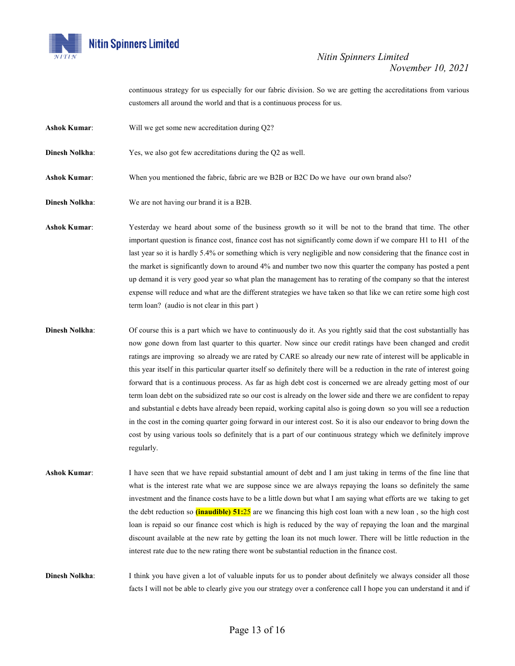

continuous strategy for us especially for our fabric division. So we are getting the accreditations from various customers all around the world and that is a continuous process for us.

- **Ashok Kumar**: Will we get some new accreditation during Q2?
- **Dinesh Nolkha:** Yes, we also got few accreditations during the Q2 as well.
- **Ashok Kumar**: When you mentioned the fabric, fabric are we B2B or B2C Do we have our own brand also?
- **Dinesh Nolkha**: We are not having our brand it is a B2B.

**Ashok Kumar**: Yesterday we heard about some of the business growth so it will be not to the brand that time. The other important question is finance cost, finance cost has not significantly come down if we compare H1 to H1 of the last year so it is hardly 5.4% or something which is very negligible and now considering that the finance cost in the market is significantly down to around 4% and number two now this quarter the company has posted a pent up demand it is very good year so what plan the management has to rerating of the company so that the interest expense will reduce and what are the different strategies we have taken so that like we can retire some high cost term loan? (audio is not clear in this part )

- **Dinesh Nolkha**: Of course this is a part which we have to continuously do it. As you rightly said that the cost substantially has now gone down from last quarter to this quarter. Now since our credit ratings have been changed and credit ratings are improving so already we are rated by CARE so already our new rate of interest will be applicable in this year itself in this particular quarter itself so definitely there will be a reduction in the rate of interest going forward that is a continuous process. As far as high debt cost is concerned we are already getting most of our term loan debt on the subsidized rate so our cost is already on the lower side and there we are confident to repay and substantial e debts have already been repaid, working capital also is going down so you will see a reduction in the cost in the coming quarter going forward in our interest cost. So it is also our endeavor to bring down the cost by using various tools so definitely that is a part of our continuous strategy which we definitely improve regularly.
- **Ashok Kumar**: I have seen that we have repaid substantial amount of debt and I am just taking in terms of the fine line that what is the interest rate what we are suppose since we are always repaying the loans so definitely the same investment and the finance costs have to be a little down but what I am saying what efforts are we taking to get the debt reduction so **(inaudible) 51:**25 are we financing this high cost loan with a new loan , so the high cost loan is repaid so our finance cost which is high is reduced by the way of repaying the loan and the marginal discount available at the new rate by getting the loan its not much lower. There will be little reduction in the interest rate due to the new rating there wont be substantial reduction in the finance cost.

**Dinesh Nolkha:** I think you have given a lot of valuable inputs for us to ponder about definitely we always consider all those facts I will not be able to clearly give you our strategy over a conference call I hope you can understand it and if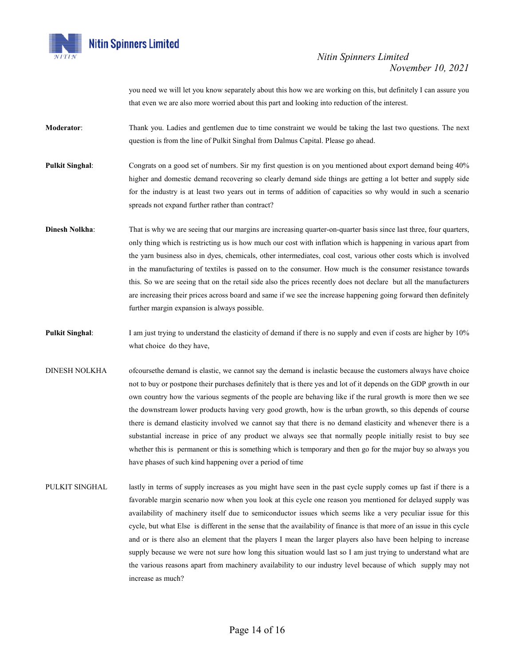

you need we will let you know separately about this how we are working on this, but definitely I can assure you that even we are also more worried about this part and looking into reduction of the interest.

- **Moderator**: Thank you. Ladies and gentlemen due to time constraint we would be taking the last two questions. The next question is from the line of Pulkit Singhal from Dalmus Capital. Please go ahead.
- **Pulkit Singhal:** Congrats on a good set of numbers. Sir my first question is on you mentioned about export demand being 40% higher and domestic demand recovering so clearly demand side things are getting a lot better and supply side for the industry is at least two years out in terms of addition of capacities so why would in such a scenario spreads not expand further rather than contract?
- **Dinesh Nolkha**: That is why we are seeing that our margins are increasing quarter-on-quarter basis since last three, four quarters, only thing which is restricting us is how much our cost with inflation which is happening in various apart from the yarn business also in dyes, chemicals, other intermediates, coal cost, various other costs which is involved in the manufacturing of textiles is passed on to the consumer. How much is the consumer resistance towards this. So we are seeing that on the retail side also the prices recently does not declare but all the manufacturers are increasing their prices across board and same if we see the increase happening going forward then definitely further margin expansion is always possible.
- **Pulkit Singhal**: I am just trying to understand the elasticity of demand if there is no supply and even if costs are higher by 10% what choice do they have,
- DINESH NOLKHA ofcoursethe demand is elastic, we cannot say the demand is inelastic because the customers always have choice not to buy or postpone their purchases definitely that is there yes and lot of it depends on the GDP growth in our own country how the various segments of the people are behaving like if the rural growth is more then we see the downstream lower products having very good growth, how is the urban growth, so this depends of course there is demand elasticity involved we cannot say that there is no demand elasticity and whenever there is a substantial increase in price of any product we always see that normally people initially resist to buy see whether this is permanent or this is something which is temporary and then go for the major buy so always you have phases of such kind happening over a period of time
- PULKIT SINGHAL lastly in terms of supply increases as you might have seen in the past cycle supply comes up fast if there is a favorable margin scenario now when you look at this cycle one reason you mentioned for delayed supply was availability of machinery itself due to semiconductor issues which seems like a very peculiar issue for this cycle, but what Else is different in the sense that the availability of finance is that more of an issue in this cycle and or is there also an element that the players I mean the larger players also have been helping to increase supply because we were not sure how long this situation would last so I am just trying to understand what are the various reasons apart from machinery availability to our industry level because of which supply may not increase as much?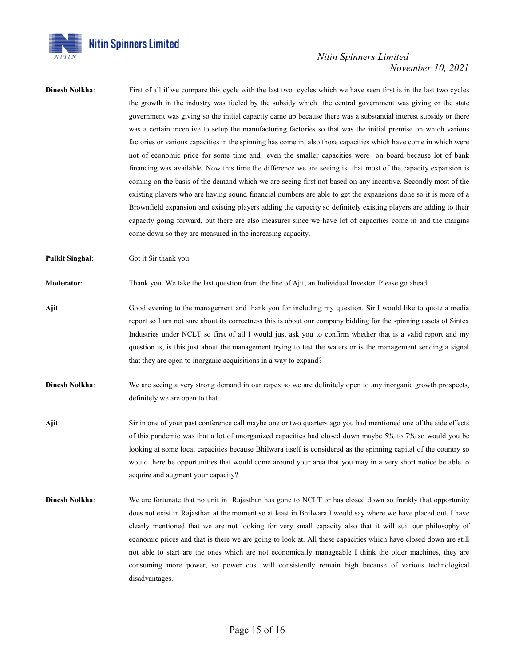

**Dinesh Nolkha:** First of all if we compare this cycle with the last two cycles which we have seen first is in the last two cycles the growth in the industry was fueled by the subsidy which the central government was giving or the state government was giving so the initial capacity came up because there was a substantial interest subsidy or there was a certain incentive to setup the manufacturing factories so that was the initial premise on which various factories or various capacities in the spinning has come in, also those capacities which have come in which were not of economic price for some time and even the smaller capacities were on board because lot of bank financing was available. Now this time the difference we are seeing is that most of the capacity expansion is coming on the basis of the demand which we are seeing first not based on any incentive. Secondly most of the existing players who are having sound financial numbers are able to get the expansions done so it is more of a Brownfield expansion and existing players adding the capacity so definitely existing players are adding to their capacity going forward, but there are also measures since we have lot of capacities come in and the margins come down so they are measured in the increasing capacity.

**Pulkit Singhal**: Got it Sir thank you.

**Moderator:** Thank you. We take the last question from the line of Ajit, an Individual Investor. Please go ahead.

- **Ajit**: Good evening to the management and thank you for including my question. Sir I would like to quote a media report so I am not sure about its correctness this is about our company bidding for the spinning assets of Sintex Industries under NCLT so first of all I would just ask you to confirm whether that is a valid report and my question is, is this just about the management trying to test the waters or is the management sending a signal that they are open to inorganic acquisitions in a way to expand?
- **Dinesh Nolkha**: We are seeing a very strong demand in our capex so we are definitely open to any inorganic growth prospects, definitely we are open to that.
- **Ajit**: Sir in one of your past conference call maybe one or two quarters ago you had mentioned one of the side effects of this pandemic was that a lot of unorganized capacities had closed down maybe 5% to 7% so would you be looking at some local capacities because Bhilwara itself is considered as the spinning capital of the country so would there be opportunities that would come around your area that you may in a very short notice be able to acquire and augment your capacity?
- **Dinesh Nolkha:** We are fortunate that no unit in Rajasthan has gone to NCLT or has closed down so frankly that opportunity does not exist in Rajasthan at the moment so at least in Bhilwara I would say where we have placed out. I have clearly mentioned that we are not looking for very small capacity also that it will suit our philosophy of economic prices and that is there we are going to look at. All these capacities which have closed down are still not able to start are the ones which are not economically manageable I think the older machines, they are consuming more power, so power cost will consistently remain high because of various technological disadvantages.